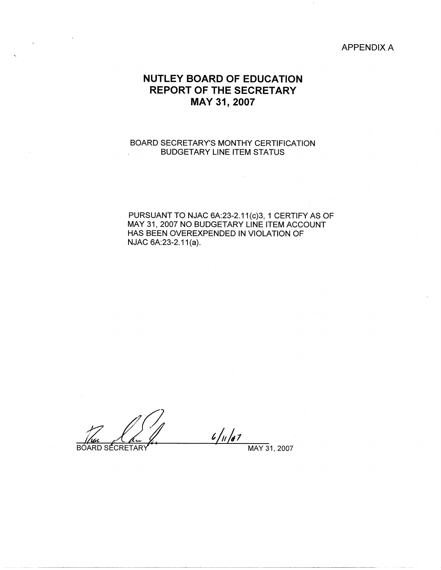## APPENDIX A

# **NUTLEY BOARD OF EDUCATION REPORT OF THE SECRETARY MAY 31, 2007**

## BOARD SECRETARY'S MONTHY CERTIFICATION BUDGETARY LINE ITEM STATUS

PURSUANT TO NJAC 6A:23-2.11(c)3, 1 CERTIFY AS OF MAY 31, 2007 NO BUDGETARY LINE ITEM ACCOUNT HAS BEEN OVEREXPENDED IN VIOLATION OF NJAC 6A:23-2.11(a).

 $\sim$ 

 $6/11/87$ **BOARD SÉCRETARY** MAY 31, 2007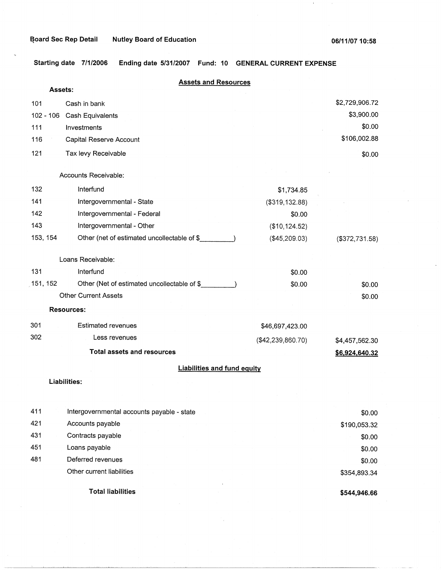$\pm$ 

**Starting date 7/1/2006 Ending date 5/31/2007 Fund: 10 GENERAL CURRENT EXPENSE** 

| Assets:     | <b>Assets and Resources</b>                 |                   |                |
|-------------|---------------------------------------------|-------------------|----------------|
| 101         | Cash in bank                                |                   | \$2,729,906.72 |
| $102 - 106$ | Cash Equivalents                            |                   | \$3,900.00     |
| 111         | Investments                                 |                   | \$0.00         |
| 116         | Capital Reserve Account                     |                   | \$106,002.88   |
| 121         | Tax levy Receivable                         |                   | \$0.00         |
|             | Accounts Receivable:                        |                   |                |
| 132         | Interfund                                   | \$1,734.85        |                |
| 141         | Intergovernmental - State                   | (\$319, 132.88)   |                |
| 142         | Intergovernmental - Federal                 | \$0.00            |                |
| 143         | Intergovernmental - Other                   | (\$10, 124.52)    |                |
| 153, 154    | Other (net of estimated uncollectable of \$ | (\$45,209.03)     | (\$372,731.58) |
|             | Loans Receivable:                           |                   |                |
| 131         | Interfund                                   | \$0.00            |                |
| 151, 152    | Other (Net of estimated uncollectable of \$ | \$0.00            | \$0.00         |
|             | <b>Other Current Assets</b>                 |                   | \$0.00         |
|             | <b>Resources:</b>                           |                   |                |
| 301         | <b>Estimated revenues</b>                   | \$46,697,423.00   |                |
| 302         | Less revenues                               | (\$42,239,860.70) | \$4,457,562.30 |
|             | <b>Total assets and resources</b>           |                   | \$6,924,640.32 |
|             | <b>Liabilities and fund equity</b>          |                   |                |
|             | Liabilities:                                |                   |                |
|             |                                             |                   |                |
| 411         | Intergovernmental accounts payable - state  |                   | \$0.00         |
| 421         | Accounts payable                            |                   | \$190,053.32   |
| 431         | Contracts payable                           |                   | \$0.00         |
| 451         | Loans payable                               |                   | \$0.00         |
| 481         | Deferred revenues                           |                   | \$0.00         |
|             | Other current liabilities                   |                   | \$354,893.34   |
|             | <b>Total liabilities</b>                    |                   | \$544,946.66   |

**\$544,946.66**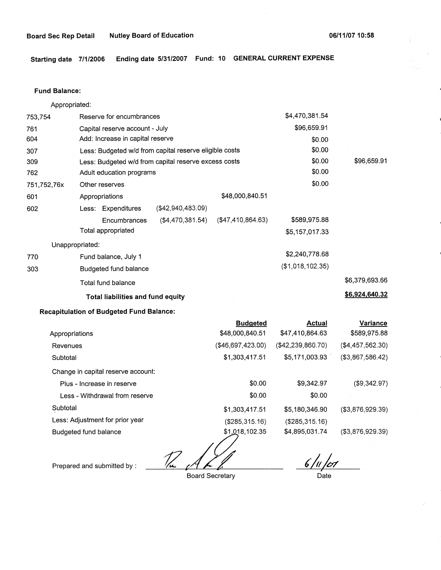**Starting date 7/1/2006 Ending date 5/31/2007 Fund: 10 GENERAL CURRENT EXPENSE** 

#### **Fund Balance:**

Appropriated:

| 753,754         | Reserve for encumbrances                               |                   |                   | \$4,470,381.54   |                |
|-----------------|--------------------------------------------------------|-------------------|-------------------|------------------|----------------|
| 761             | Capital reserve account - July                         |                   |                   | \$96,659.91      |                |
| 604             | Add: Increase in capital reserve                       |                   |                   | \$0.00           |                |
| 307             | Less: Budgeted w/d from capital reserve eligible costs |                   |                   | \$0.00           |                |
| 309             | Less: Budgeted w/d from capital reserve excess costs   |                   |                   | \$0.00           | \$96,659.91    |
| 762             | Adult education programs                               |                   |                   | \$0.00           |                |
| 751,752,76x     | Other reserves                                         |                   |                   | \$0.00           |                |
| 601             | Appropriations                                         |                   | \$48,000,840.51   |                  |                |
| 602             | Less: Expenditures                                     | (\$42,940,483.09) |                   |                  |                |
|                 | Encumbrances                                           | (\$4,470,381.54)  | (\$47,410,864.63) | \$589,975.88     |                |
|                 | Total appropriated                                     |                   |                   | \$5,157,017.33   |                |
| Unappropriated: |                                                        |                   |                   |                  |                |
| 770             | Fund balance, July 1                                   |                   |                   | \$2,240,778.68   |                |
| 303             | Budgeted fund balance                                  |                   |                   | (\$1,018,102.35) |                |
|                 | Total fund balance                                     |                   |                   |                  | \$6,379,693.66 |
|                 | <b>Total liabilities and fund equity</b>               |                   |                   |                  | \$6,924,640.32 |

### **Recapitulation of Budgeted Fund Balance:**

|                                    | <b>Budgeted</b>   | <b>Actual</b>     | Variance          |
|------------------------------------|-------------------|-------------------|-------------------|
| Appropriations                     | \$48,000,840.51   | \$47,410,864.63   | \$589,975.88      |
| Revenues                           | (\$46,697,423.00) | (\$42,239,860.70) | (\$4,457,562.30)  |
| Subtotal                           | \$1,303,417.51    | \$5,171,003.93    | (\$3,867,586.42)  |
| Change in capital reserve account: |                   |                   |                   |
| Plus - Increase in reserve         | \$0.00            | \$9,342.97        | (S9, 342.97)      |
| Less - Withdrawal from reserve     | \$0.00            | \$0.00            |                   |
| Subtotal                           | \$1,303,417.51    | \$5,180,346.90    | ( \$3,876,929.39) |
| Less: Adjustment for prior year    | (\$285,315.16)    | (\$285,315.16)    |                   |
| Budgeted fund balance              | \$1,018,102.35    | \$4,895,031.74    | ( \$3,876,929.39) |
|                                    |                   |                   |                   |

*t?~* 

Board Secretary

 $6/11/107$  $\overline{$  Date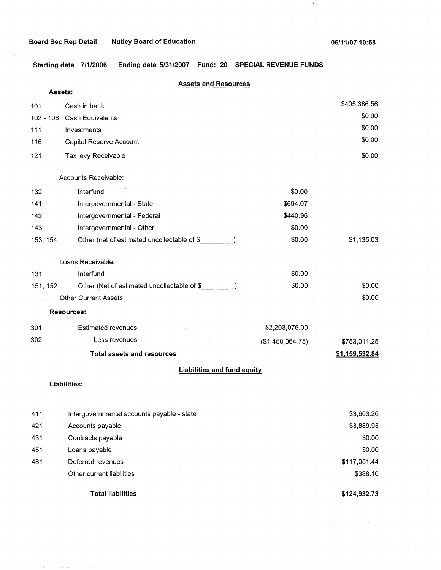$\pm$ 

**Starting date 7/1/2006 Ending date 5/31/2007 Fund: 20 SPECIAL REVENUE FUNDS** 

| <b>Assets and Resources</b> |                                             |                  |                |  |
|-----------------------------|---------------------------------------------|------------------|----------------|--|
| Assets:                     |                                             |                  |                |  |
| 101                         | Cash in bank                                |                  | \$405,386.56   |  |
| 102 - 106                   | Cash Equivalents                            |                  | \$0.00         |  |
| 111                         | Investments                                 |                  | \$0.00         |  |
| 116                         | Capital Reserve Account                     |                  | \$0.00         |  |
| 121                         | Tax levy Receivable                         |                  | \$0.00         |  |
|                             | Accounts Receivable:                        |                  |                |  |
| 132                         | Interfund                                   | \$0.00           |                |  |
| 141                         | Intergovernmental - State                   | \$694.07         |                |  |
| 142                         | Intergovernmental - Federal                 | \$440.96         |                |  |
| 143                         | Intergovernmental - Other                   | \$0.00           |                |  |
| 153, 154                    | Other (net of estimated uncollectable of \$ | \$0.00           | \$1,135.03     |  |
|                             | Loans Receivable:                           |                  |                |  |
| 131                         | Interfund                                   | \$0.00           |                |  |
| 151, 152                    | Other (Net of estimated uncollectable of \$ | \$0.00           | \$0.00         |  |
|                             | <b>Other Current Assets</b>                 |                  | \$0.00         |  |
|                             | <b>Resources:</b>                           |                  |                |  |
| 301                         | <b>Estimated revenues</b>                   | \$2,203,076.00   |                |  |
| 302                         | Less revenues                               | (\$1,450,064.75) | \$753,011.25   |  |
|                             | <b>Total assets and resources</b>           |                  | \$1,159,532.84 |  |
|                             | <b>Liabilities and fund equity</b>          |                  |                |  |
|                             | Liabilities:                                |                  |                |  |
| 411                         | Intergovernmental accounts payable - state  |                  | \$3,603.26     |  |
| 421                         | Accounts payable                            |                  | \$3,889.93     |  |
| 431                         | Contracts payable                           |                  | \$0.00         |  |
| 451                         | Loans payable                               |                  | \$0.00         |  |

481 Deferred revenues Other current liabilities

**Total liabilities** 

**\$124,932.73** 

\$117,051.44 \$388.10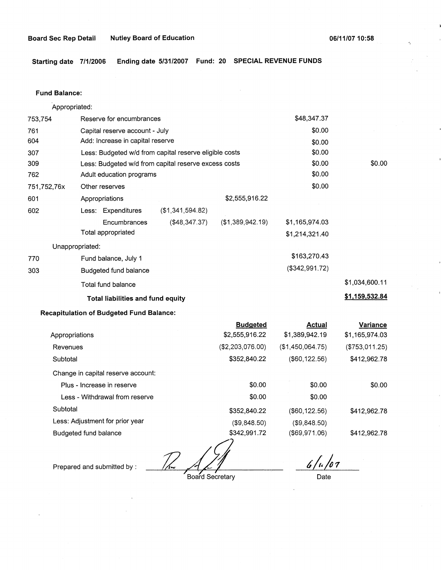**Starting date 7/1/2006 Ending date 5/31/2007 Fund: 20 SPECIAL REVENUE FUNDS** 

## **Fund Balance:**

753,754 761 604 Appropriated: Reserve for encumbrances Capital reserve account - July Add: Increase in capital reserve 307 309 762 751,752,76x 601 Less: Budgeted w/d from capital reserve eligible costs Less: Budgeted w/d from capital reserve excess costs Adult education programs 602 770 303 Other reserves Appropriations Less: Expenditures **Encumbrances** Total appropriated Unappropriated: Fund balance, July 1 Budgeted fund balance Total fund balance (\$1,341,594.82) (\$48,347.37) \$2,555,916.22 (\$1,389,942.19) **Total liabilities and fund equity Recapitulation of Budgeted Fund Balance:**  Appropriations Revenues **Subtotal Budgeted**  \$2,555,916.22 (\$2,203,076.00) \$352,840.22 \$48,347.37 \$0.00 \$0.00 \$0.00 \$0.00 \$0.00 \$0.00 \$1,165,974.03 \$1,214,321.40 \$163,270.43 (\$342,991.72) **Actual**  \$1,389,942.19 (\$1,450,064.75) (\$60,122.56) \$0.00 \$1,034,600.11 **\$1,159,532.84 Variance**  \$1,165,974.03 (\$753,011.25) \$412,962.78

Change in capital reserve account:

| Grange in Capital reserve account. |              |                  |              |
|------------------------------------|--------------|------------------|--------------|
| Plus - Increase in reserve         | \$0.00       | \$0.00           | \$0.00       |
| Less - Withdrawal from reserve     | \$0.00       | \$0.00           |              |
| Subtotal                           | \$352,840.22 | $($ \$60,122,56) | \$412,962.78 |
| Less: Adjustment for prior year    | (\$9,848.50) | (S9, 848.50)     |              |
| Budgeted fund balance              | \$342,991.72 | (\$69,971.06)    | \$412,962.78 |

12,991<br><u>12 A March Board</u> Secretary

Board Secretary

*6·/,./o7* 

Date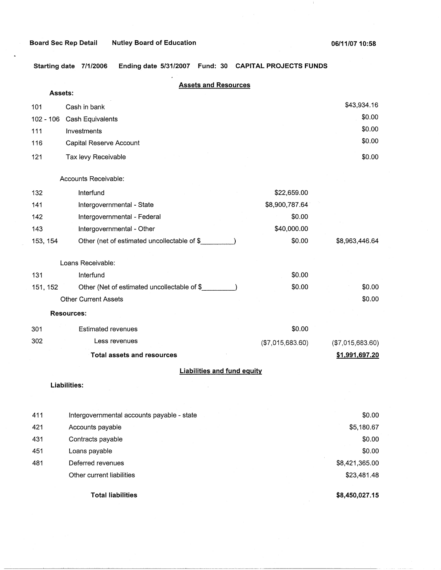$\pm$ 

**Starting date 7/1/2006 Ending date 5/31/2007 Fund: 30 CAPITAL PROJECTS FUNDS** 

| <b>Assets and Resources</b> |                                             |                  |                  |
|-----------------------------|---------------------------------------------|------------------|------------------|
| Assets:                     |                                             |                  |                  |
| 101                         | Cash in bank                                |                  | \$43,934.16      |
| $102 - 106$                 | Cash Equivalents                            |                  | \$0.00           |
| 111                         | Investments                                 |                  | \$0.00           |
| 116                         | Capital Reserve Account                     |                  | \$0.00           |
| 121                         | Tax levy Receivable                         |                  | \$0.00           |
|                             | Accounts Receivable:                        |                  |                  |
| 132                         | Interfund                                   | \$22,659.00      |                  |
| 141                         | Intergovernmental - State                   | \$8,900,787.64   |                  |
| 142                         | Intergovernmental - Federal                 | \$0.00           |                  |
| 143                         | Intergovernmental - Other                   | \$40,000.00      |                  |
| 153, 154                    | Other (net of estimated uncollectable of \$ | \$0.00           | \$8,963,446.64   |
|                             | Loans Receivable:                           |                  |                  |
| 131                         | Interfund                                   | \$0.00           |                  |
| 151, 152                    | Other (Net of estimated uncollectable of \$ | \$0.00           | \$0.00           |
|                             | <b>Other Current Assets</b>                 |                  | \$0.00           |
|                             | <b>Resources:</b>                           |                  |                  |
| 301                         | <b>Estimated revenues</b>                   | \$0.00           |                  |
| 302                         | Less revenues                               | (\$7,015,683.60) | (\$7,015,683.60) |
|                             | <b>Total assets and resources</b>           |                  | \$1,991,697.20   |
|                             | <b>Liabilities and fund equity</b>          |                  |                  |
|                             | <b>Liabilities:</b>                         |                  |                  |
|                             |                                             |                  |                  |
| 411                         | Intergovernmental accounts payable - state  |                  | \$0.00           |
| 421                         | Accounts payable                            |                  | \$5,180.67       |
| 431                         | Contracts payable                           |                  | \$0.00           |
| 451                         | Loans payable                               |                  | \$0.00           |
| 481                         | Deferred revenues                           |                  | \$8,421,365.00   |
|                             | Other current liabilities                   |                  | \$23,481.48      |
|                             | <b>Total liabilities</b>                    |                  | \$8,450,027.15   |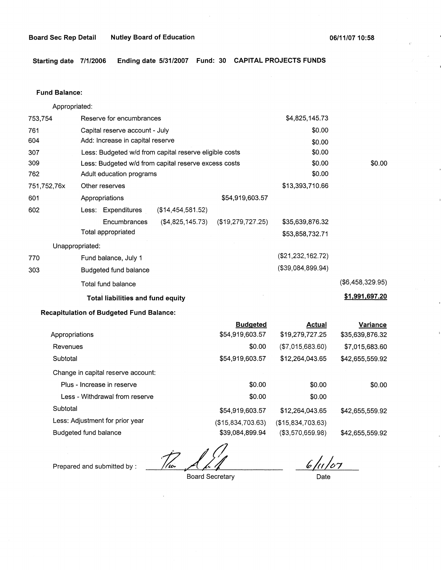**Starting date 7/1/2006 Ending date 5/31/2007 Fund: 30 CAPITAL PROJECTS FUNDS** 

#### **Fund Balance:**

753,754 761 604 Appropriated: Reserve for encumbrances Capital reserve account - July Add: Increase in capital reserve 307 309 762 751,752,76x 601 Less: Budgeted w/d from capital reserve eligible costs Less: Budgeted w/d from capital reserve excess costs Adult education programs 602 770 303 other reserves Appropriations \$54,919,603.57 Less: Expenditures (\$14,454,581.52) Encumbrances (\$4,825,145.73) (\$19,279,727.25) Total appropriated Unappropriated: Fund balance, July 1 Budgeted fund balance Total fund balance **Total liabilities and fund equity**  \$4,825,145.73 \$0.00 \$0.00 \$0.00 \$0.00 \$0.00 \$13,393,710.66 \$35,639,876.32 \$53,858,732.71 (\$21,232,162.72) (\$39,084,899.94) \$0.00 (\$6,458,329.95) **\$1,991,697.20** 

#### **Recapitulation of Budgeted Fund Balance:**

|                                    | <b>Budgeted</b>   | Actual            | <b>Variance</b> |
|------------------------------------|-------------------|-------------------|-----------------|
| Appropriations                     | \$54,919,603.57   | \$19,279,727.25   | \$35,639,876.32 |
| Revenues                           | \$0.00            | (\$7,015,683.60)  | \$7,015,683.60  |
| Subtotal                           | \$54,919,603.57   | \$12,264,043.65   | \$42,655,559.92 |
| Change in capital reserve account: |                   |                   |                 |
| Plus - Increase in reserve         | \$0.00            | \$0.00            | \$0.00          |
| Less - Withdrawal from reserve     | \$0.00            | \$0.00            |                 |
| Subtotal                           | \$54,919,603.57   | \$12,264,043.65   | \$42,655,559.92 |
| Less: Adjustment for prior year    | (\$15,834,703.63) | (\$15,834,703.63) |                 |
| Budgeted fund balance              | \$39,084,899.94   | (\$3,570,659.98)  | \$42,655,559.92 |
|                                    |                   |                   |                 |

Prepared and submitted by :

T/w

Board Secretary

 $6/11/07$ Date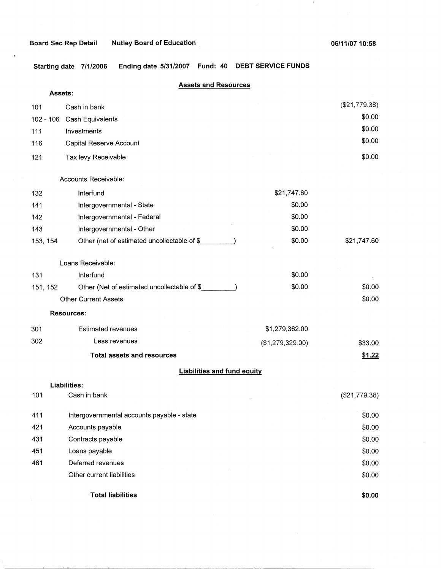#### **Board Sec Rep Detail Nutley Board of Education**

 $\sim 1$ 

**Starting date 7/1/2006 Ending date 5/31/2007 Fund: 40 DEBT SERVICE FUNDS** 

## **Assets and Resources**

| Assets:  |                                             |                  |               |
|----------|---------------------------------------------|------------------|---------------|
| 101      | Cash in bank                                |                  | (\$21,779.38) |
|          | 102 - 106 Cash Equivalents                  |                  | \$0.00        |
| 111      | Investments                                 |                  | \$0.00        |
| 116      | Capital Reserve Account                     |                  | \$0.00        |
| 121      | Tax levy Receivable                         |                  | \$0.00        |
|          | Accounts Receivable:                        |                  |               |
| 132      | Interfund                                   | \$21,747.60      |               |
| 141      | Intergovernmental - State                   | \$0.00           |               |
| 142      | Intergovernmental - Federal                 | \$0.00           |               |
| 143      | Intergovernmental - Other                   | \$0.00           |               |
| 153, 154 | Other (net of estimated uncollectable of \$ | \$0.00           | \$21,747.60   |
|          | Loans Receivable:                           |                  |               |
| 131      | Interfund                                   | \$0.00           |               |
| 151, 152 | Other (Net of estimated uncollectable of \$ | \$0.00           | \$0.00        |
|          | <b>Other Current Assets</b>                 |                  | \$0.00        |
|          | <b>Resources:</b>                           |                  |               |
| 301      | <b>Estimated revenues</b>                   | \$1,279,362.00   |               |
| 302      | Less revenues                               | (\$1,279,329.00) | \$33.00       |
|          | <b>Total assets and resources</b>           |                  | \$1.22        |
|          | <b>Liabilities and fund equity</b>          |                  |               |
|          | <b>Liabilities:</b>                         |                  |               |
| 101      | Cash in bank                                |                  | (\$21,779.38) |
| 411      | Intergovernmental accounts payable - state  |                  | \$0.00        |
| 421      | Accounts payable                            |                  | \$0.00        |
| 431      | Contracts payable                           |                  | \$0.00        |
| 451      | Loans payable                               |                  | \$0.00        |
| 481      | Deferred revenues                           |                  | \$0.00        |
|          | Other current liabilities                   |                  | \$0.00        |
|          | <b>Total liabilities</b>                    |                  | \$0.00        |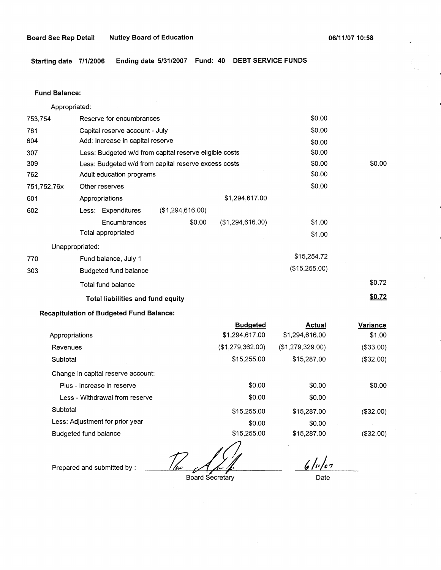**Starting date 7/1/2006 Ending date 5/31/2007 Fund: 40 DEBT SERVICE FUNDS** 

#### **Fund Balance:**

753,754 761 604 Appropriated: Reserve for encumbrances Capital reserve account - July Add: Increase in capital reserve 307 309 762 751,752,76x 601 Less: Budgeted w/d from capital reserve eligible costs Less: Budgeted w/d from capital reserve excess costs Adult education programs 602 770 303 Other reserves Appropriations Less: Expenditures Encumbrances Total appropriated Unappropriated: Fund balance, July 1 Budgeted fund balance Total fund balance (\$1,294,616.00) \$0.00 **Total liabilities and fund equity**  \$1,294,617.00 (\$1,294,616.00) \$0.00 \$0.00 \$0.00 \$0.00 \$0.00 \$0.00 \$0.00 \$1.00 \$1.00 \$15,254.72 (\$15,255.00) \$0.00 \$0.72 **\$0.72** 

## **Recapitulation of Budgeted Fund Balance:**

|                                    | <b>Budgeted</b>  | <b>Actual</b>    | Variance  |
|------------------------------------|------------------|------------------|-----------|
| Appropriations                     | \$1,294,617.00   | \$1,294,616.00   | \$1.00    |
| Revenues                           | (\$1,279,362.00) | (\$1,279,329.00) | (\$33.00) |
| Subtotal                           | \$15,255.00      | \$15,287.00      | (\$32.00) |
| Change in capital reserve account: |                  |                  |           |
| Plus - Increase in reserve         | \$0.00           | \$0.00           | \$0.00    |
| Less - Withdrawal from reserve     | \$0.00           | \$0.00           |           |
| Subtotal                           | \$15,255.00      | \$15,287.00      | (\$32.00) |
| Less: Adjustment for prior year    | \$0.00           | \$0.00           |           |
| Budgeted fund balance              | \$15,255.00      | \$15,287.00      | (\$32.00) |

Prepared and submitted by :

Board Secretary

 $6/10/07$ 

Date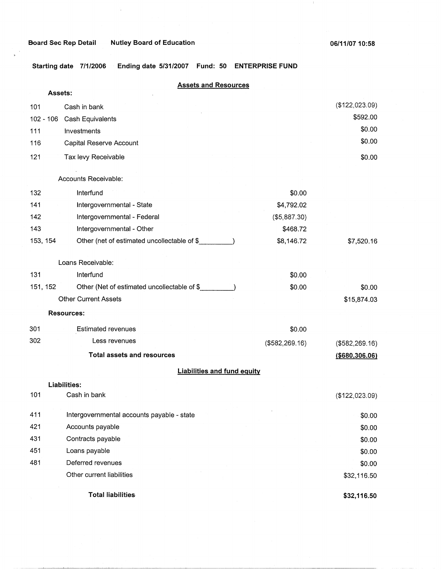$\mathbb{Q}$ 

 $\pm$ 

**Starting date 7/1/2006 Ending date 5/31/2007 Fund: 50 ENTERPRISE FUND** 

## **Assets and Resources**

| Assets:     |                                             |                |                  |
|-------------|---------------------------------------------|----------------|------------------|
| 101         | Cash in bank                                |                | (\$122,023.09)   |
| $102 - 106$ | Cash Equivalents                            |                | \$592.00         |
| 111         | Investments                                 |                | \$0.00           |
| 116         | Capital Reserve Account                     |                | \$0.00           |
| 121         | Tax levy Receivable                         |                | \$0.00           |
|             | Accounts Receivable:                        |                |                  |
| 132         | Interfund                                   | \$0.00         |                  |
| 141         | Intergovernmental - State                   | \$4,792.02     |                  |
| 142         | Intergovernmental - Federal                 | (\$5,887.30)   |                  |
| 143         | Intergovernmental - Other                   | \$468.72       |                  |
| 153, 154    | Other (net of estimated uncollectable of \$ | \$8,146.72     | \$7,520.16       |
|             | Loans Receivable:                           |                |                  |
| 131         | Interfund                                   | \$0.00         |                  |
| 151, 152    | Other (Net of estimated uncollectable of \$ | \$0.00         | \$0.00           |
|             | <b>Other Current Assets</b>                 |                | \$15,874.03      |
|             | <b>Resources:</b>                           |                |                  |
| 301         | <b>Estimated revenues</b>                   | \$0.00         |                  |
| 302         | Less revenues                               | (\$582,269.16) | (\$582,269.16)   |
|             | <b>Total assets and resources</b>           |                | ( \$680, 306.06) |
|             | <b>Liabilities and fund equity</b>          |                |                  |
|             | Liabilities:                                |                |                  |
| 101         | Cash in bank                                |                | (\$122,023.09)   |
| 411         | Intergovernmental accounts payable - state  |                | \$0.00           |
| 421         | Accounts payable                            |                | \$0.00           |
| 431         | Contracts payable                           |                | \$0.00           |
| 451         | Loans payable                               |                | \$0.00           |
| 481         | Deferred revenues                           |                | \$0.00           |
|             | Other current liabilities                   |                | \$32,116.50      |
|             | <b>Total liabilities</b>                    |                | \$32,116.50      |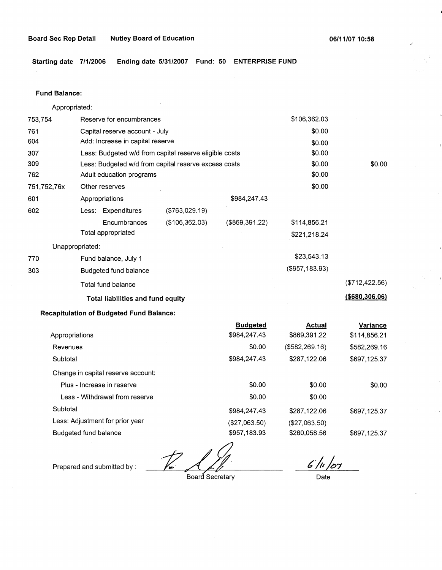**Starting date 7/1/2006 Ending date 5/31/2007 Fund: 50 ENTERPRISE FUND** 

#### **Fund Balance:**

753,754 761 604 Appropriated: Reserve for encumbrances Capital reserve account - July Add: Increase in capital reserve 307 309 762 751,752,76x 601 Less: Budgeted w/d from capital reserve eligible costs Less: Budgeted w/d from capital reserve excess costs Adult education programs 602 770 303 Other reserves Appropriations Less: Expenditures **Encumbrances** Total appropriated Unappropriated: Fund balance, July 1 Budgeted fund balance Total fund balance (\$763,029.19) (\$106,362.03) \$984,247.43 (\$869,391.22) **Total liabilities and fund equity Recapitulation of Budgeted Fund Balance:**  Appropriations Revenues **Subtotal** Change in capital reserve account: Plus - Increase in reserve **Budgeted**  \$984,247.43 \$0.00 \$984,247.43 \$0.00 \$106,362.03 \$0.00 \$0.00 \$0.00 \$0.00 \$0.00 \$0.00 \$114,856.21 \$221,218.24 \$23,543.13 (\$957,183.93) **Actual** \$869,391.22 (\$582,269.16) \$287,122.06 \$0.00 \$0.00 (\$712,422.56) **(\$680,306.06) Variance**  \$114,856.21 \$582,269.16 \$697,125.37 \$0.00

Less - Withdrawal from reserve **Subtotal** Less: Adjustment for prior year Budgeted fund balance \$0.00 \$984,247.43 (\$27,063.50) \$957,183.93 \$0.00 \$287,122.06 (\$27,063.50) \$260,058.56 \$697,125.37 \$697,125.37

 $\frac{1}{\sqrt{\frac{2}{1}}\sqrt{\frac{2}{1}}}}$ 

Board Secretary

*?)~/47* 

Date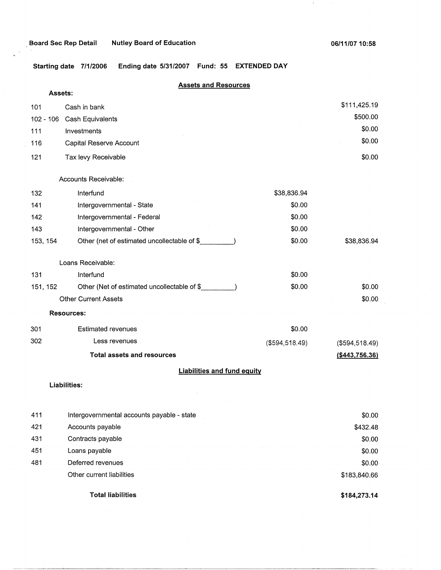$\Delta_{\rm g}$  $\ddot{\phantom{a}}$ 

 $\bar{\mathcal{A}}$ 

, **Board Sec Rep Detail Nutley Board of Education** 

 $\sim$ 

 $\mathcal{A}_{\mathcal{A}}$ 

**Starting date 7/1/2006 Ending date 5/31/2007 Fund: 55 EXTENDED DAY** 

| Assets:<br>\$111,425.19<br>101<br>Cash in bank<br>\$500.00<br>102 - 106<br>Cash Equivalents<br>\$0.00<br>Investments<br>111<br>\$0.00<br>116<br>Capital Reserve Account<br>\$0.00<br>121<br>Tax levy Receivable<br>Accounts Receivable:<br>132<br>Interfund<br>\$38,836.94<br>\$0.00<br>141<br>Intergovernmental - State<br>\$0.00<br>Intergovernmental - Federal<br>142<br>Intergovernmental - Other<br>\$0.00<br>143<br>Other (net of estimated uncollectable of \$<br>\$0.00<br>\$38,836.94<br>153, 154<br>Loans Receivable:<br>\$0.00<br>131<br>Interfund<br>Other (Net of estimated uncollectable of \$<br>\$0.00<br>\$0.00<br>151, 152<br>Other Current Assets<br>\$0.00<br><b>Resources:</b><br>\$0.00<br>301<br><b>Estimated revenues</b><br>302<br>Less revenues<br>( \$594, 518.49)<br>(\$594,518.49)<br><b>Total assets and resources</b><br>( \$443, 756.36)<br><b>Liabilities and fund equity</b><br>Liabilities: | <b>Assets and Resources</b> |  |  |  |
|--------------------------------------------------------------------------------------------------------------------------------------------------------------------------------------------------------------------------------------------------------------------------------------------------------------------------------------------------------------------------------------------------------------------------------------------------------------------------------------------------------------------------------------------------------------------------------------------------------------------------------------------------------------------------------------------------------------------------------------------------------------------------------------------------------------------------------------------------------------------------------------------------------------------------------|-----------------------------|--|--|--|
|                                                                                                                                                                                                                                                                                                                                                                                                                                                                                                                                                                                                                                                                                                                                                                                                                                                                                                                                |                             |  |  |  |
|                                                                                                                                                                                                                                                                                                                                                                                                                                                                                                                                                                                                                                                                                                                                                                                                                                                                                                                                |                             |  |  |  |
|                                                                                                                                                                                                                                                                                                                                                                                                                                                                                                                                                                                                                                                                                                                                                                                                                                                                                                                                |                             |  |  |  |
|                                                                                                                                                                                                                                                                                                                                                                                                                                                                                                                                                                                                                                                                                                                                                                                                                                                                                                                                |                             |  |  |  |
|                                                                                                                                                                                                                                                                                                                                                                                                                                                                                                                                                                                                                                                                                                                                                                                                                                                                                                                                |                             |  |  |  |
|                                                                                                                                                                                                                                                                                                                                                                                                                                                                                                                                                                                                                                                                                                                                                                                                                                                                                                                                |                             |  |  |  |
|                                                                                                                                                                                                                                                                                                                                                                                                                                                                                                                                                                                                                                                                                                                                                                                                                                                                                                                                |                             |  |  |  |
|                                                                                                                                                                                                                                                                                                                                                                                                                                                                                                                                                                                                                                                                                                                                                                                                                                                                                                                                |                             |  |  |  |
|                                                                                                                                                                                                                                                                                                                                                                                                                                                                                                                                                                                                                                                                                                                                                                                                                                                                                                                                |                             |  |  |  |
|                                                                                                                                                                                                                                                                                                                                                                                                                                                                                                                                                                                                                                                                                                                                                                                                                                                                                                                                |                             |  |  |  |
|                                                                                                                                                                                                                                                                                                                                                                                                                                                                                                                                                                                                                                                                                                                                                                                                                                                                                                                                |                             |  |  |  |
|                                                                                                                                                                                                                                                                                                                                                                                                                                                                                                                                                                                                                                                                                                                                                                                                                                                                                                                                |                             |  |  |  |
|                                                                                                                                                                                                                                                                                                                                                                                                                                                                                                                                                                                                                                                                                                                                                                                                                                                                                                                                |                             |  |  |  |
|                                                                                                                                                                                                                                                                                                                                                                                                                                                                                                                                                                                                                                                                                                                                                                                                                                                                                                                                |                             |  |  |  |
|                                                                                                                                                                                                                                                                                                                                                                                                                                                                                                                                                                                                                                                                                                                                                                                                                                                                                                                                |                             |  |  |  |
|                                                                                                                                                                                                                                                                                                                                                                                                                                                                                                                                                                                                                                                                                                                                                                                                                                                                                                                                |                             |  |  |  |
|                                                                                                                                                                                                                                                                                                                                                                                                                                                                                                                                                                                                                                                                                                                                                                                                                                                                                                                                |                             |  |  |  |
|                                                                                                                                                                                                                                                                                                                                                                                                                                                                                                                                                                                                                                                                                                                                                                                                                                                                                                                                |                             |  |  |  |
|                                                                                                                                                                                                                                                                                                                                                                                                                                                                                                                                                                                                                                                                                                                                                                                                                                                                                                                                |                             |  |  |  |
|                                                                                                                                                                                                                                                                                                                                                                                                                                                                                                                                                                                                                                                                                                                                                                                                                                                                                                                                |                             |  |  |  |
|                                                                                                                                                                                                                                                                                                                                                                                                                                                                                                                                                                                                                                                                                                                                                                                                                                                                                                                                |                             |  |  |  |
|                                                                                                                                                                                                                                                                                                                                                                                                                                                                                                                                                                                                                                                                                                                                                                                                                                                                                                                                |                             |  |  |  |
|                                                                                                                                                                                                                                                                                                                                                                                                                                                                                                                                                                                                                                                                                                                                                                                                                                                                                                                                |                             |  |  |  |

| 411 | Intergovernmental accounts payable - state | \$0.00       |
|-----|--------------------------------------------|--------------|
| 421 | Accounts payable                           | \$432.48     |
| 431 | Contracts payable                          | \$0.00       |
| 451 | Loans payable                              | \$0.00       |
| 481 | Deferred revenues                          | \$0.00       |
|     | Other current liabilities                  | \$183,840.66 |
|     | <b>Total liabilities</b>                   | \$184,273.14 |